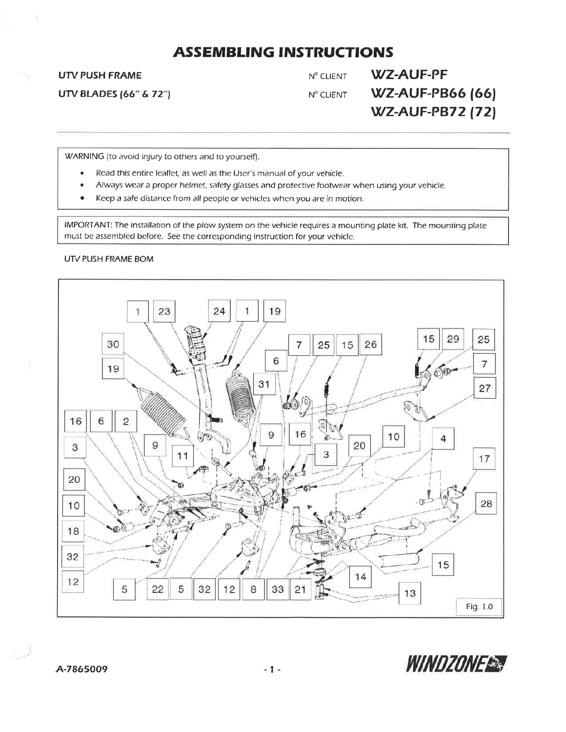**UTV PUSH FRAME** 

**UTV BLADES (66" & 72")** 

**WZ-AUF-PF** Nº CLIENT **WZ-AUF-PB66 (66)** Nº CLIENT **WZ-AUF-PB72 (72)** 

WARNING (to avoid injury to others and to yourself):

- Read this entire leaflet, as well as the User's manual of your vehicle.  $\bullet$
- Always wear a proper helmet, safety glasses and protective footwear when using your vehicle.
- Keep a safe distance from all people or vehicles when you are in motion.

IMPORTANT: The installation of the plow system on the vehicle requires a mounting plate kit. The mounting plate must be assembled before. See the corresponding instruction for your vehicle.

#### UTV PUSH FRAME BOM



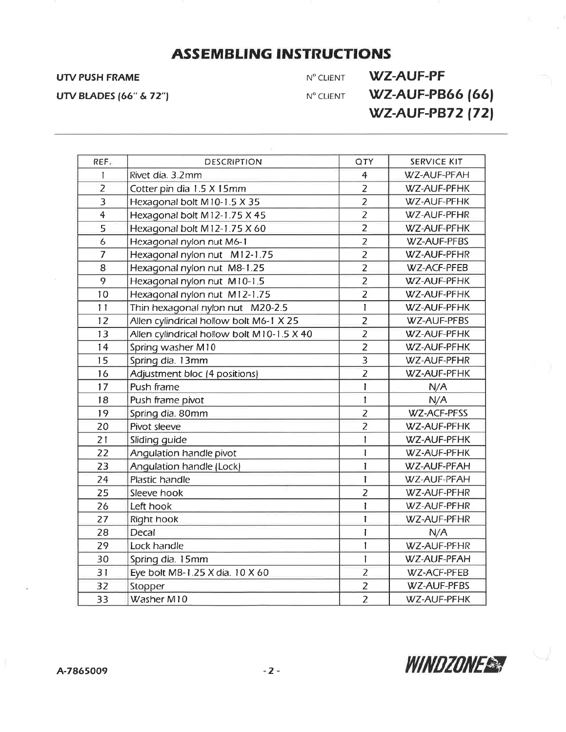UTV PUSH FRAME NO CLIENT NO CLIENT WZ-AUF-PF UTV BLADES (66" & 72")  $N^{\circ}$  CLIENT **WZ-AUF-PB66 (66) WZ-AUF-PB72 (72)** 

| REF.           | <b>DESCRIPTION</b>                         | <b>QTY</b>     | SERVICE KIT        |
|----------------|--------------------------------------------|----------------|--------------------|
| $\overline{1}$ | Rivet dia. 3.2mm                           | $\overline{4}$ | WZ-AUF-PFAH        |
| $\overline{z}$ | Cotter pin dia 1.5 X 15mm                  | $\overline{z}$ | WZ-AUF-PFHK        |
| 3              | Hexagonal bolt M10-1.5 X 35                | $\overline{2}$ | WZ-AUF-PFHK        |
| $\overline{4}$ | Hexagonal bolt M12-1.75 X 45               | $\overline{2}$ | WZ-AUF-PFHR        |
| 5              | Hexagonal bolt M12-1.75 X 60               | $\overline{2}$ | WZ-AUF-PFHK        |
| 6              | Hexagonal nylon nut M6-1                   | $\overline{2}$ | WZ-AUF-PFBS        |
| $\overline{7}$ | Hexagonal nylon nut M12-1.75               | $\overline{2}$ | WZ-AUF-PFHR        |
| 8              | Hexagonal nylon nut M8-1.25                | $\overline{2}$ | WZ-ACF-PFEB        |
| 9              | Hexagonal nylon nut M10-1.5                | $\overline{2}$ | WZ-AUF-PFHK        |
| 10             | Hexagonal nylon nut M12-1.75               | $\overline{2}$ | WZ-AUF-PFHK        |
| 11             | Thin hexagonal nylon nut M20-2.5           | 1              | WZ-AUF-PFHK        |
| 12             | Allen cylindrical hollow bolt M6-1 X 25    | $\overline{z}$ | WZ-AUF-PFBS        |
| 13             | Allen cylindrical hollow bolt M10-1.5 X 40 | $\overline{2}$ | WZ-AUF-PFHK        |
| 14             | Spring washer M10                          | $\overline{z}$ | WZ-AUF-PFHK        |
| 15             | Spring dia. 13mm                           | $\overline{3}$ | WZ-AUF-PFHR        |
| 16             | Adjustment bloc (4 positions)              | $\overline{z}$ | WZ-AUF-PFHK        |
| 17             | Push frame                                 | I              | N/A                |
| 18             | Push frame pivot                           | 1              | N/A                |
| 19             | Spring dia. 80mm                           | $\overline{2}$ | <b>WZ-ACF-PFSS</b> |
| 20             | Pivot sleeve                               | $\overline{2}$ | WZ-AUF-PFHK        |
| 21             | Sliding guide                              | 1              | WZ-AUF-PFHK        |
| 22             | Angulation handle pivot                    | $\mathbf{I}$   | WZ-AUF-PFHK        |
| 23             | Angulation handle (Lock)                   | 1              | WZ-AUF-PFAH        |
| 24             | Plastic handle                             | $\mathbf{I}$   | WZ-AUF-PFAH        |
| 25             | Sleeve hook                                | $\overline{2}$ | WZ-AUF-PFHR        |
| 26             | Left hook                                  | L              | WZ-AUF-PFHR        |
| 27             | Right hook                                 | $\mathbf{I}$   | WZ-AUF-PFHR        |
| 28             | Decal                                      | Ĩ              | N/A                |
| 29             | Lock handle                                | 1              | WZ-AUF-PFHR        |
| 30             | Spring dia. 15mm                           | $\mathbf{1}$   | WZ-AUF-PFAH        |
| 31             | Eye bolt M8-1.25 X dia. 10 X 60            | $\overline{z}$ | WZ-ACF-PFEB        |
| 32             | Stopper                                    | $\overline{2}$ | WZ-AUF-PFBS        |
| 33             | Washer M10                                 | $\overline{2}$ | WZ-AUF-PFHK        |

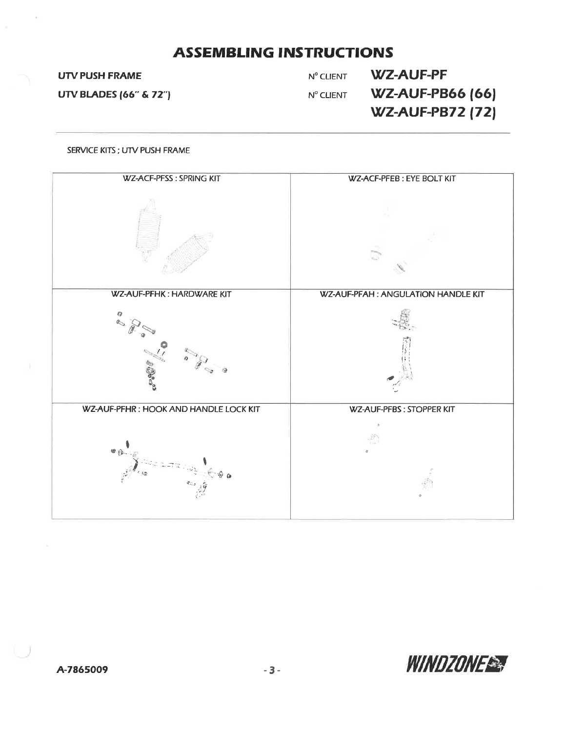### **UTV PUSH FRAME**

**UTV BLADES (66" & 72")** 

**WZ-AUF-PF** N° CLIENT **WZ-AUF-PB66 (66)** N° CLIENT **WZ-AUF-PB72 (72)** 

#### SERVICE KITS; UTV PUSH FRAME



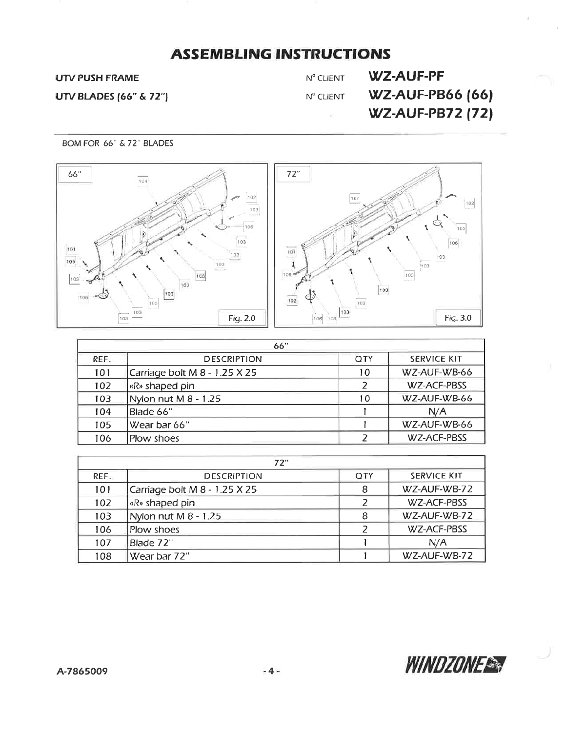### **UTV PUSH FRAME**

**UTV BLADES (66" & 72")** 

Nº CLIENT  $N^{\rm o}$  CLIENT

 $\sim$ 

**WZ-AUF-PF WZ-AUF-PB66 (66) WZ-AUF-PB72 (72)** 

BOM FOR 66" & 72" BLADES



|      | 66"                           |            |                    |  |  |  |
|------|-------------------------------|------------|--------------------|--|--|--|
| REF. | <b>DESCRIPTION</b>            | <b>OTY</b> | <b>SERVICE KIT</b> |  |  |  |
| 101  | Carriage bolt M 8 - 1.25 X 25 | 10         | WZ-AUF-WB-66       |  |  |  |
| 102  | «R» shaped pin                |            | WZ-ACF-PBSS        |  |  |  |
| 103  | Nylon nut M 8 - 1.25          | 10         | WZ-AUF-WB-66       |  |  |  |
| 104  | Blade 66"                     |            | N/A                |  |  |  |
| 105  | Wear bar 66"                  |            | WZ-AUF-WB-66       |  |  |  |
| 106  | Plow shoes                    |            | WZ-ACF-PBSS        |  |  |  |

| 72"  |                               |            |                    |  |  |
|------|-------------------------------|------------|--------------------|--|--|
| REF. | <b>DESCRIPTION</b>            | <b>QTY</b> | <b>SERVICE KIT</b> |  |  |
| 101  | Carriage bolt M 8 - 1.25 X 25 | 8          | WZ-AUF-WB-72       |  |  |
| 102  | «R» shaped pin                |            | WZ-ACF-PBSS        |  |  |
| 103  | Nylon nut M 8 - 1.25          | 8          | WZ-AUF-WB-72       |  |  |
| 106  | Plow shoes                    |            | WZ-ACF-PBSS        |  |  |
| 107  | Blade 72"                     |            | N/A                |  |  |
| 108  | Wear bar 72"                  |            | WZ-AUF-WB-72       |  |  |

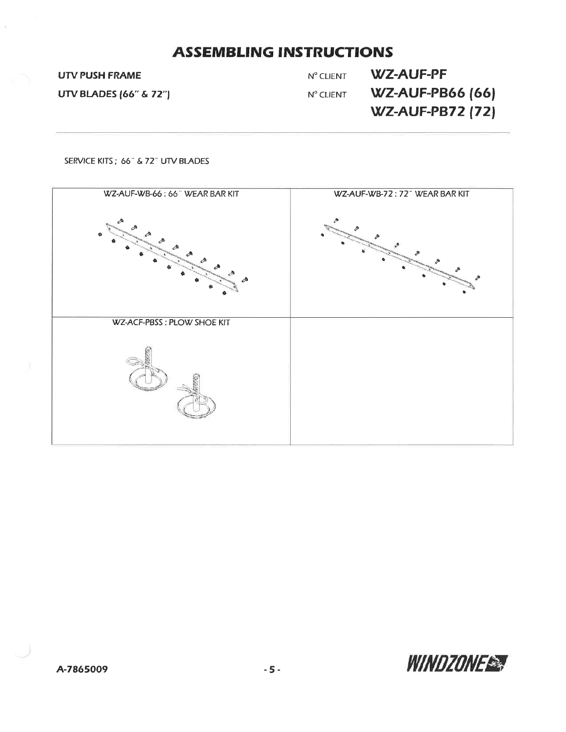**UTV PUSH FRAME** 

**UTV BLADES (66" & 72")** 

**WZ-AUF-PF** N° CLIENT **WZ-AUF-PB66 (66)** Nº CLIENT **WZ-AUF-PB72 (72)** 

SERVICE KITS; 66" & 72" UTV BLADES



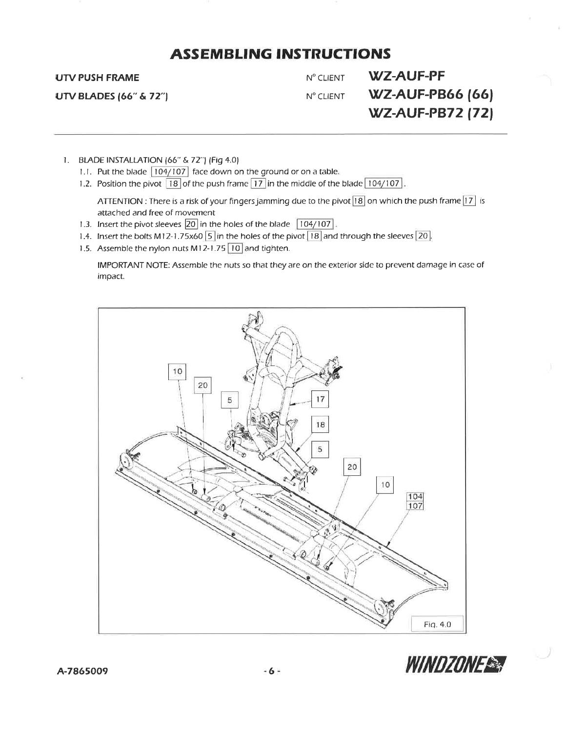### **UTV PUSH FRAME**

**UTV BLADES (66" & 72")** 

N° CLIENT N° CLIENT

WZ-AUF-PF **WZ-AUF-PB66 (66) WZ-AUF-PB72 (72)** 

- 1. BLADE INSTALLATION (66" & 72") (Fig 4.0)
	- 1.1. Put the blade 104/107 face down on the ground or on a table.
	- 1.2. Position the pivot  $\boxed{18}$  of the push frame  $\boxed{17}$  in the middle of the blade  $\boxed{104/107}$ .

ATTENTION : There is a risk of your fingers jamming due to the pivot [18] on which the push frame [17] is attached and free of movement

- 1.3. Insert the pivot sleeves 20 in the holes of the blade 104/107.
- 1.4. Insert the bolts M12-1.75x60  $\boxed{5}$  in the holes of the pivot  $\boxed{18}$  and through the sleeves  $\boxed{20}$ .
- 1.5. Assemble the nylon nuts M12-1.75 10 and tighten.

IMPORTANT NOTE: Assemble the nuts so that they are on the exterior side to prevent damage in case of impact.



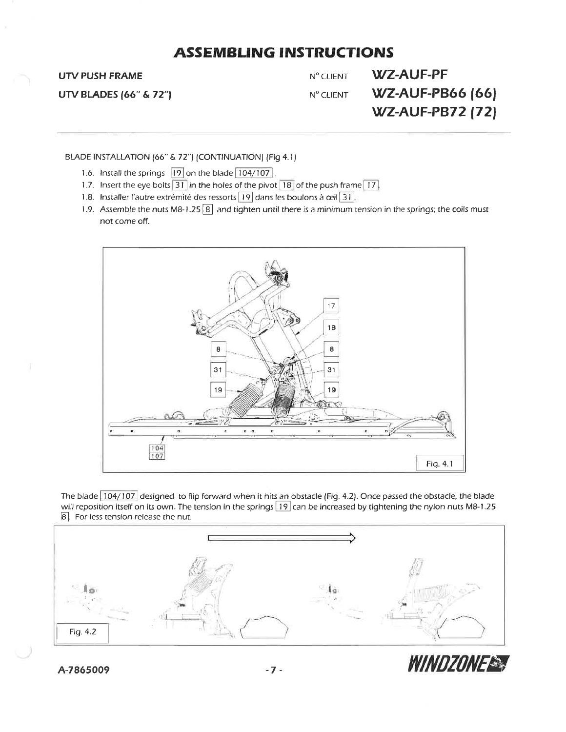### **UTV PUSH FRAME**

**UTV BLADES (66" & 72")** 

**WZ-AUF-PF** N° CLIENT **WZ-AUF-PB66 (66)** Nº CLIENT **WZ-AUF-PB72 (72)** 

BLADE INSTALLATION (66" & 72") (CONTINUATION) (Fig 4.1)

- 1.6. Install the springs 19 on the blade 104/107
- 1.7. Insert the eye bolts  $\boxed{31}$  in the holes of the pivot  $\boxed{18}$  of the push frame  $\boxed{17}$ .
- 1.8. Installer l'autre extrémité des ressorts 19 dans les boulons à ceil 31.
- 1.9. Assemble the nuts M8-1.25  $\overline{8}$  and tighten until there is a minimum tension in the springs; the coils must not come off.



The blade  $\boxed{104/107}$  designed to flip forward when it hits an obstacle (Fig. 4.2). Once passed the obstacle, the blade will reposition itself on its own. The tension in the springs [19] can be increased by tightening the nylon nuts M8-1.25 8. For less tension release the nut.



A-7865009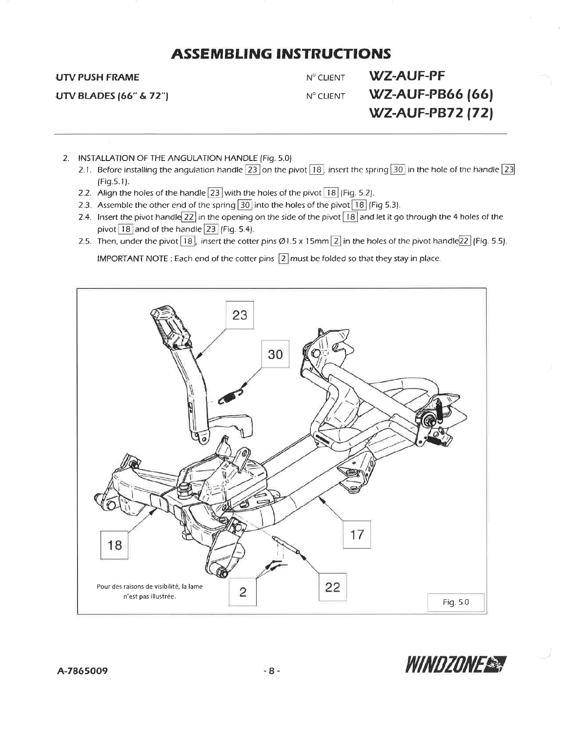**UTV PUSH FRAME** 

**UTV BLADES (66" & 72")** 

N° CLIENT N° CLIENT

**WZ-AUF-PF WZ-AUF-PB66 (66) WZ-AUF-PB72 (72)** 

- 2. INSTALLATION OF THE ANGULATION HANDLE (Fig. 5.0)
	- 2.1. Before installing the angulation handle 23 on the pivot 18, insert the spring 30 in the hole of the handle 23 (Fig.5.1).
	- 2.2. Align the holes of the handle  $\boxed{23}$  with the holes of the pivot  $\boxed{18}$  (Fig. 5.2).
	- 2.3. Assemble the other end of the spring 30 into the holes of the pivot 18 (Fig 5.3).
	- 2.4. Insert the pivot handle  $\boxed{22}$  in the opening on the side of the pivot  $\boxed{18}$  and let it go through the 4 holes of the pivot  $\boxed{18}$  and of the handle  $\boxed{23}$  (Fig. 5.4).
	- 2.5. Then, under the pivot  $\overline{18}$ , insert the cotter pins Ø1.5 x 15mm  $\overline{2}$  in the holes of the pivot handle  $\overline{22}$  (Fig. 5.5).

IMPORTANT NOTE : Each end of the cotter pins  $\boxed{2}$  must be folded so that they stay in place.



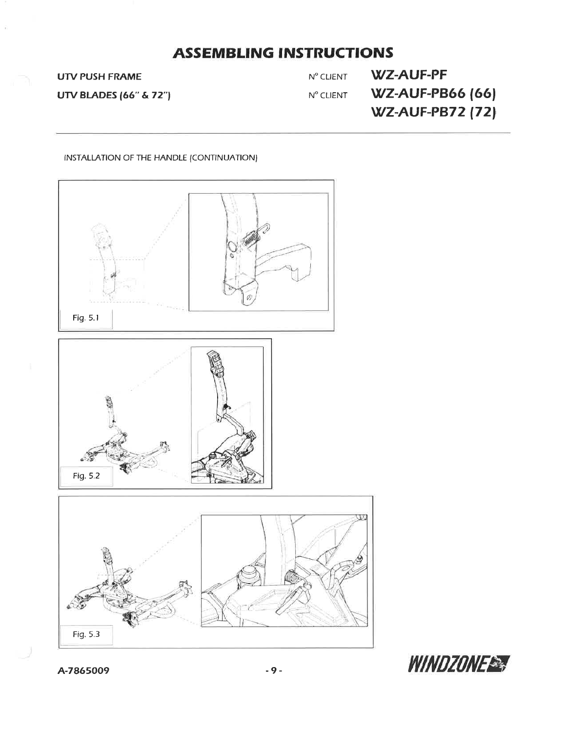**UTV PUSH FRAME** 

**UTV BLADES (66" & 72")** 

**WZ-AUF-PF** Nº CLIENT **WZ-AUF-PB66 (66)**  $N^{\rm o}$  CLIENT **WZ-AUF-PB72 (72)** 

#### INSTALLATION OF THE HANDLE (CONTINUATION)



WINDZONE

A-7865009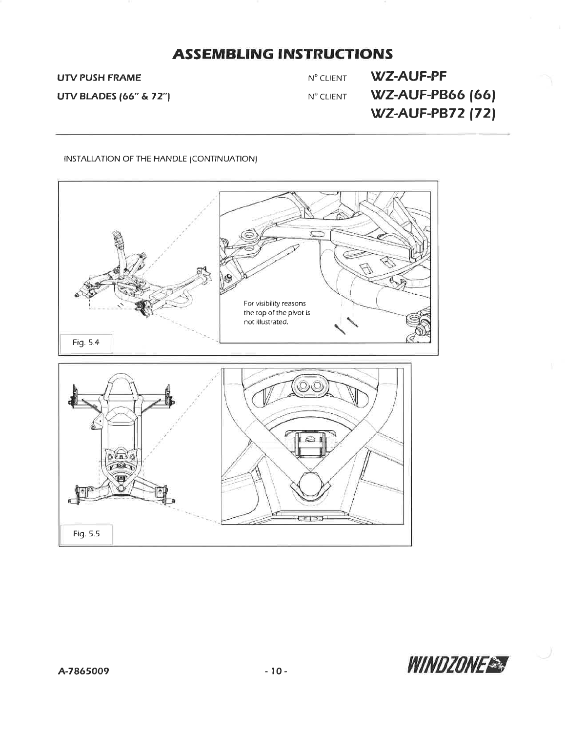**UTV PUSH FRAME** 

**UTV BLADES (66" & 72")** 

Nº CLIENT Nº CLIENT

**WZ-AUF-PF WZ-AUF-PB66 (66)** WZ-AUF-PB72 (72)

### **INSTALLATION OF THE HANDLE (CONTINUATION)**

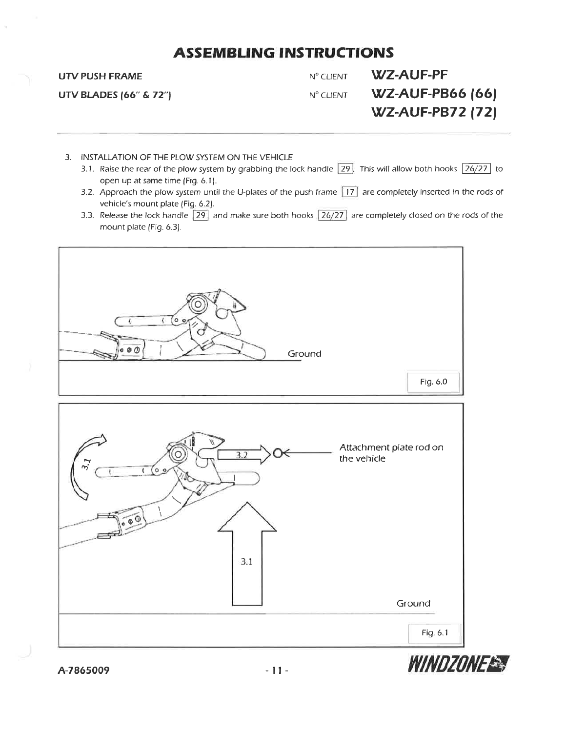#### **UTV PUSH FRAME**

**UTV BLADES (66" & 72")** 

**WZ-AUF-PF** N° CLIENT N° CLIENT

**WZ-AUF-PB66 (66) WZ-AUF-PB72 (72)** 

- 3. INSTALLATION OF THE PLOW SYSTEM ON THE VEHICLE
	- 3.1. Raise the rear of the plow system by grabbing the lock handle  $\boxed{29}$ . This will allow both hooks  $\boxed{26/27}$  to open up at same time (Fig. 6.1).
	- 3.2. Approach the plow system until the U-plates of the push frame  $\boxed{17}$  are completely inserted in the rods of vehicle's mount plate (Fig. 6.2).
	- 3.3. Release the lock handle  $\boxed{29}$  and make sure both hooks  $\boxed{26/27}$  are completely closed on the rods of the mount plate (Fig. 6.3).





A-7865009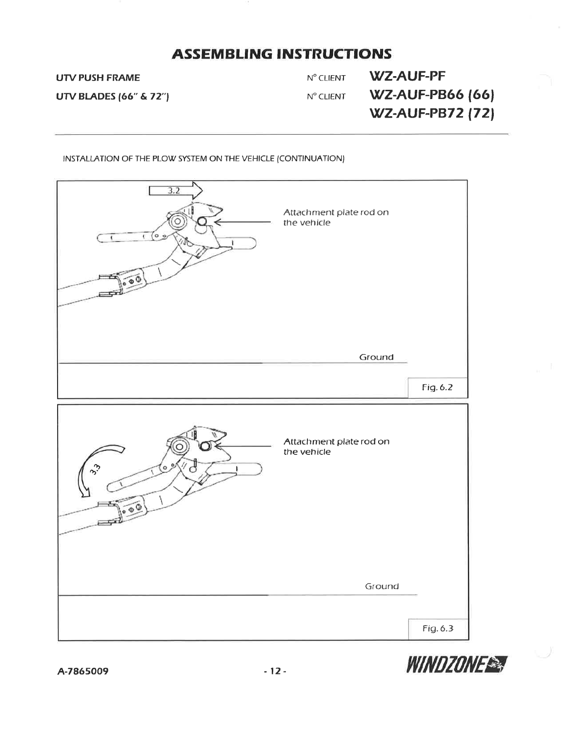**UTV PUSH FRAME** 

**UTV BLADES (66" & 72")** 

**WZ-AUF-PF** Nº CLIENT **WZ-AUF-PB66 (66)** N° CLIENT **WZ-AUF-PB72 (72)** 

INSTALLATION OF THE PLOW SYSTEM ON THE VEHICLE (CONTINUATION)